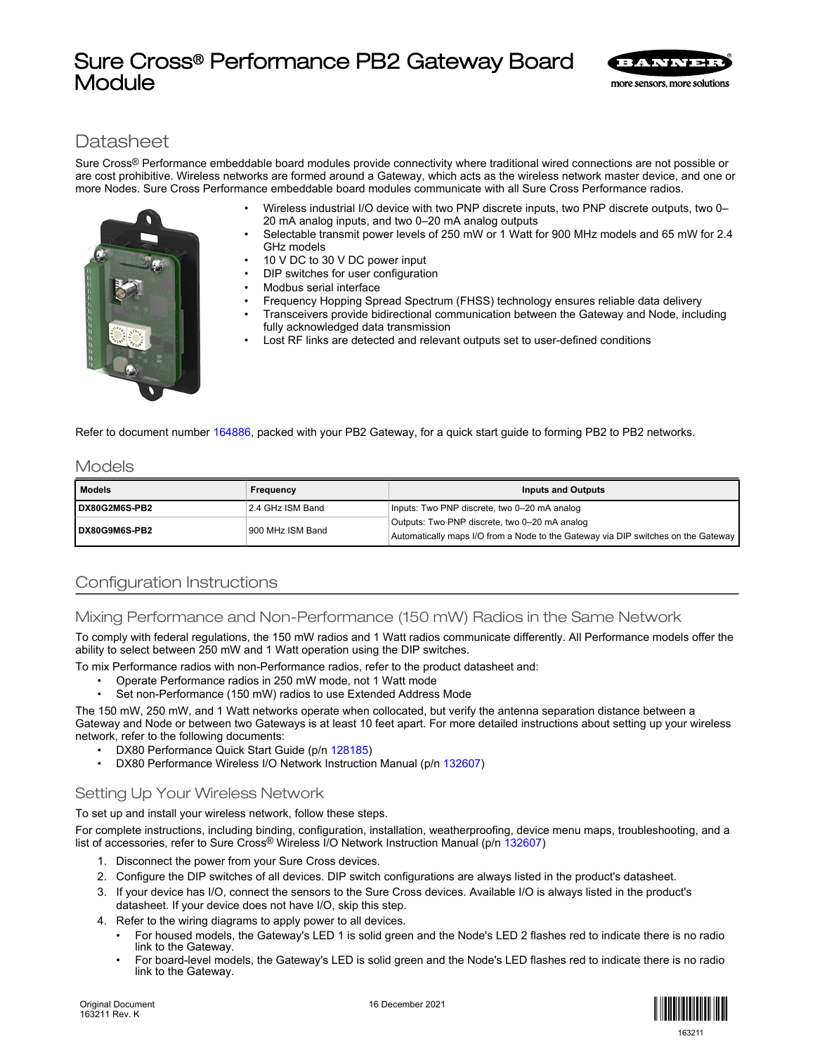# Sure Cross® Performance PB2 Gateway Board Module



# **Datasheet**

Sure Cross® Performance embeddable board modules provide connectivity where traditional wired connections are not possible or are cost prohibitive. Wireless networks are formed around a Gateway, which acts as the wireless network master device, and one or more Nodes. Sure Cross Performance embeddable board modules communicate with all Sure Cross Performance radios.

- Wireless industrial I/O device with two PNP discrete inputs, two PNP discrete outputs, two 0– 20 mA analog inputs, and two 0–20 mA analog outputs
- Selectable transmit power levels of 250 mW or 1 Watt for 900 MHz models and 65 mW for 2.4 GHz models
- 10 V DC to 30 V DC power input
- DIP switches for user configuration
- Modbus serial interface
- Frequency Hopping Spread Spectrum (FHSS) technology ensures reliable data delivery
- Transceivers provide bidirectional communication between the Gateway and Node, including fully acknowledged data transmission
- Lost RF links are detected and relevant outputs set to user-defined conditions

Refer to document number [164886,](http://info.bannersalesforce.com/intradoc-cgi/nph-idc_cgi.exe?IdcService=GET_FILE&dDocName=164886&RevisionSelectionMethod=Latest&Rendition=web) packed with your PB2 Gateway, for a quick start guide to forming PB2 to PB2 networks.

# Models

| <b>Models</b> | Frequency        | <b>Inputs and Outputs</b>                                                                                                          |  |  |  |
|---------------|------------------|------------------------------------------------------------------------------------------------------------------------------------|--|--|--|
| DX80G2M6S-PB2 | 2.4 GHz ISM Band | Inputs: Two PNP discrete, two 0-20 mA analog                                                                                       |  |  |  |
| DX80G9M6S-PB2 | 900 MHz ISM Band | Outputs: Two PNP discrete, two 0-20 mA analog<br>Automatically maps I/O from a Node to the Gateway via DIP switches on the Gateway |  |  |  |

# Configuration Instructions

# Mixing Performance and Non-Performance (150 mW) Radios in the Same Network

To comply with federal regulations, the 150 mW radios and 1 Watt radios communicate differently. All Performance models offer the ability to select between 250 mW and 1 Watt operation using the DIP switches.

To mix Performance radios with non-Performance radios, refer to the product datasheet and:

- Operate Performance radios in 250 mW mode, not 1 Watt mode
- Set non-Performance (150 mW) radios to use Extended Address Mode

The 150 mW, 250 mW, and 1 Watt networks operate when collocated, but verify the antenna separation distance between a Gateway and Node or between two Gateways is at least 10 feet apart. For more detailed instructions about setting up your wireless network, refer to the following documents:

- DX80 Performance Quick Start Guide (p/n [128185\)](http://info.bannerengineering.com/cs/groups/public/documents/literature/128185.pdf)
- DX80 Performance Wireless I/O Network Instruction Manual (p/n [132607](http://info.bannerengineering.com/cs/groups/public/documents/literature/132607.pdf))

# Setting Up Your Wireless Network

To set up and install your wireless network, follow these steps.

For complete instructions, including binding, configuration, installation, weatherproofing, device menu maps, troubleshooting, and a list of accessories, refer to Sure Cross® Wireless I/O Network Instruction Manual (p/n [132607](http://info.bannerengineering.com/cs/groups/public/documents/literature/132607.pdf))

- 1. Disconnect the power from your Sure Cross devices.
- 2. Configure the DIP switches of all devices. DIP switch configurations are always listed in the product's datasheet.
- 3. If your device has I/O, connect the sensors to the Sure Cross devices. Available I/O is always listed in the product's datasheet. If your device does not have I/O, skip this step.
- 4. Refer to the wiring diagrams to apply power to all devices.
	- For housed models, the Gateway's LED 1 is solid green and the Node's LED 2 flashes red to indicate there is no radio link to the Gateway.
	- For board-level models, the Gateway's LED is solid green and the Node's LED flashes red to indicate there is no radio link to the Gateway.

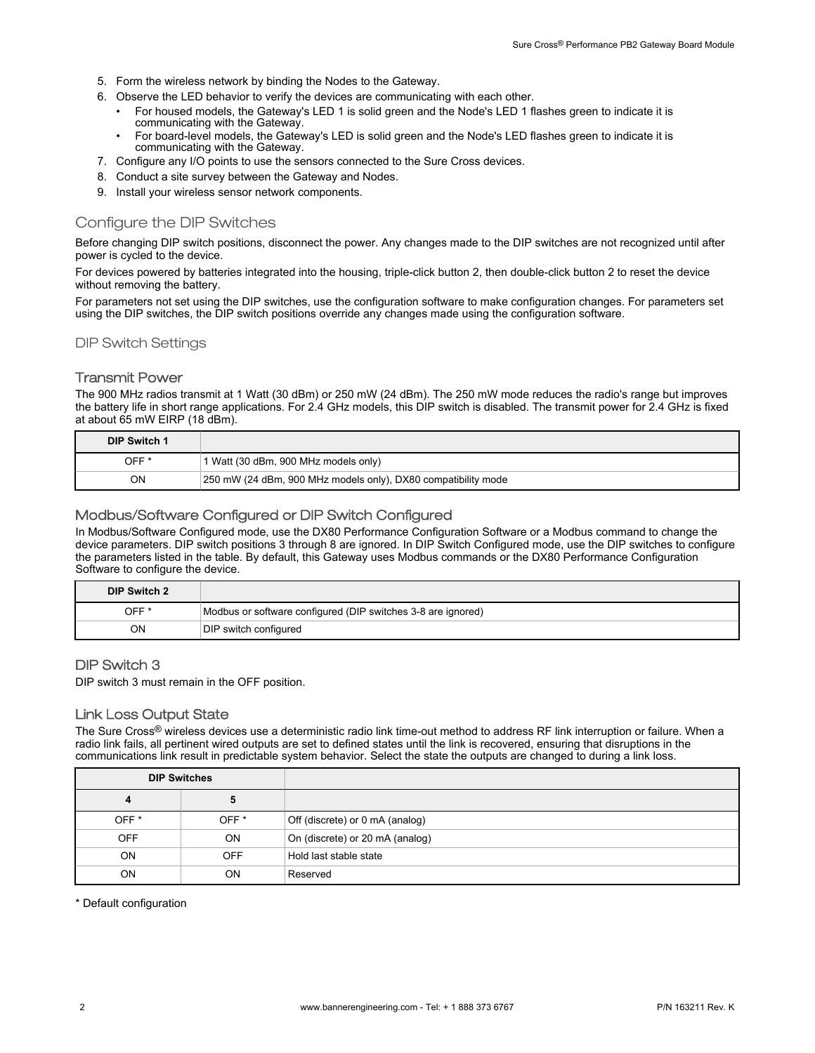- 5. Form the wireless network by binding the Nodes to the Gateway.
- 6. Observe the LED behavior to verify the devices are communicating with each other.
	- For housed models, the Gateway's LED 1 is solid green and the Node's LED 1 flashes green to indicate it is communicating with the Gateway.
	- For board-level models, the Gateway's LED is solid green and the Node's LED flashes green to indicate it is communicating with the Gateway.
- 7. Configure any I/O points to use the sensors connected to the Sure Cross devices.
- 8. Conduct a site survey between the Gateway and Nodes.
- 9. Install your wireless sensor network components.

# Configure the DIP Switches

Before changing DIP switch positions, disconnect the power. Any changes made to the DIP switches are not recognized until after power is cycled to the device.

For devices powered by batteries integrated into the housing, triple-click button 2, then double-click button 2 to reset the device without removing the battery.

For parameters not set using the DIP switches, use the configuration software to make configuration changes. For parameters set using the DIP switches, the DIP switch positions override any changes made using the configuration software.

DIP Switch Settings

# Transmit Power

The 900 MHz radios transmit at 1 Watt (30 dBm) or 250 mW (24 dBm). The 250 mW mode reduces the radio's range but improves the battery life in short range applications. For 2.4 GHz models, this DIP switch is disabled. The transmit power for 2.4 GHz is fixed at about 65 mW EIRP (18 dBm).

| DIP Switch 1     |                                                               |
|------------------|---------------------------------------------------------------|
| OFF <sup>*</sup> | 1 Watt (30 dBm, 900 MHz models only)                          |
| ΟN               | 250 mW (24 dBm, 900 MHz models only), DX80 compatibility mode |

# Modbus/Software Configured or DIP Switch Configured

In Modbus/Software Configured mode, use the DX80 Performance Configuration Software or a Modbus command to change the device parameters. DIP switch positions 3 through 8 are ignored. In DIP Switch Configured mode, use the DIP switches to configure the parameters listed in the table. By default, this Gateway uses Modbus commands or the DX80 Performance Configuration Software to configure the device.

| DIP Switch 2 |                                                              |
|--------------|--------------------------------------------------------------|
| OFF *        | Modbus or software configured (DIP switches 3-8 are ignored) |
| ΟN           | DIP switch configured                                        |

### DIP Switch 3

DIP switch 3 must remain in the OFF position.

### Link Loss Output State

The Sure Cross<sup>®</sup> wireless devices use a deterministic radio link time-out method to address RF link interruption or failure. When a radio link fails, all pertinent wired outputs are set to defined states until the link is recovered, ensuring that disruptions in the communications link result in predictable system behavior. Select the state the outputs are changed to during a link loss.

| <b>DIP Switches</b> |                  |                                 |
|---------------------|------------------|---------------------------------|
| 4                   | 5                |                                 |
| OFF <sup>*</sup>    | OFF <sup>*</sup> | Off (discrete) or 0 mA (analog) |
| <b>OFF</b>          | <b>ON</b>        | On (discrete) or 20 mA (analog) |
| <b>ON</b>           | <b>OFF</b>       | Hold last stable state          |
| <b>ON</b>           | <b>ON</b>        | Reserved                        |

\* Default configuration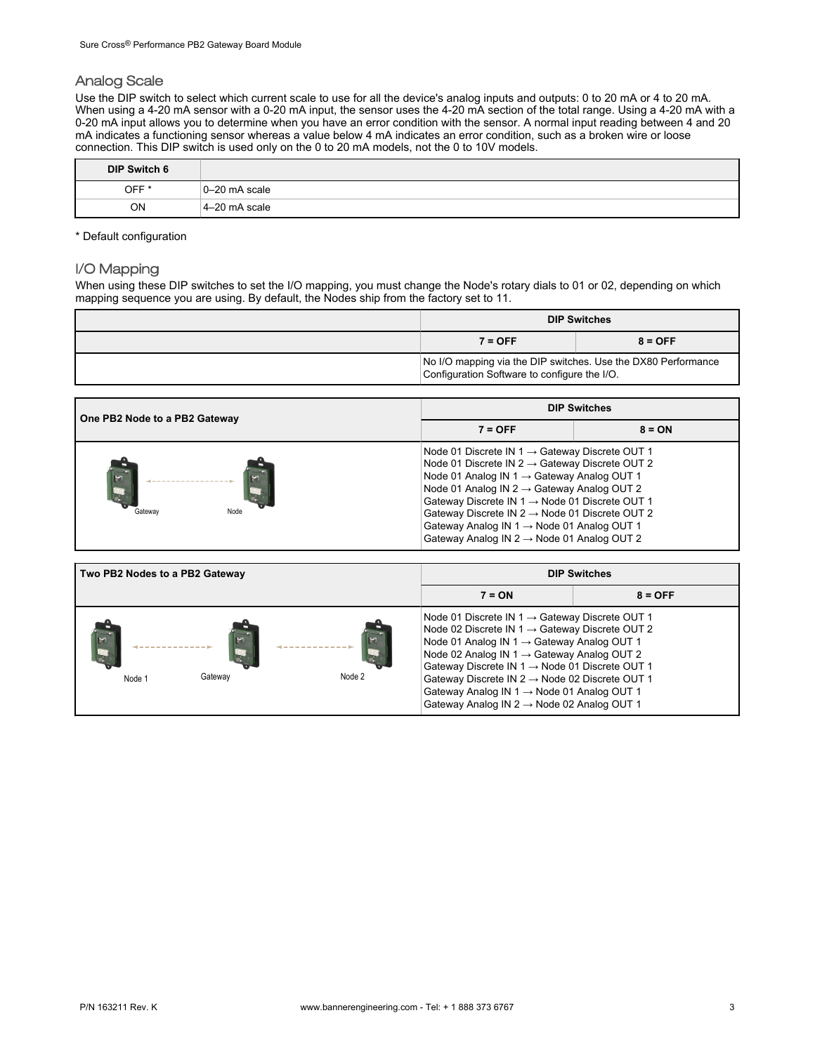# Analog Scale

Use the DIP switch to select which current scale to use for all the device's analog inputs and outputs: 0 to 20 mA or 4 to 20 mA. When using a 4-20 mA sensor with a 0-20 mA input, the sensor uses the 4-20 mA section of the total range. Using a 4-20 mA with a 0-20 mA input allows you to determine when you have an error condition with the sensor. A normal input reading between 4 and 20 mA indicates a functioning sensor whereas a value below 4 mA indicates an error condition, such as a broken wire or loose connection. This DIP switch is used only on the 0 to 20 mA models, not the 0 to 10V models.

| <b>DIP Switch 6</b> |               |
|---------------------|---------------|
| OFF <sup>*</sup>    | 0-20 mA scale |
| <b>ON</b>           | 4-20 mA scale |

\* Default configuration

# I/O Mapping

When using these DIP switches to set the I/O mapping, you must change the Node's rotary dials to 01 or 02, depending on which mapping sequence you are using. By default, the Nodes ship from the factory set to 11.

| <b>DIP Switches</b>                                                                                           |  |  |  |  |
|---------------------------------------------------------------------------------------------------------------|--|--|--|--|
| $8 = OFF$<br>$7 = OFF$                                                                                        |  |  |  |  |
| No I/O mapping via the DIP switches. Use the DX80 Performance<br>Configuration Software to configure the I/O. |  |  |  |  |

| One PB2 Node to a PB2 Gateway | <b>DIP Switches</b>                                                                                                                                                                                                                                                                                                                                                                                                                                                  |          |  |  |
|-------------------------------|----------------------------------------------------------------------------------------------------------------------------------------------------------------------------------------------------------------------------------------------------------------------------------------------------------------------------------------------------------------------------------------------------------------------------------------------------------------------|----------|--|--|
|                               | $7 = OFF$                                                                                                                                                                                                                                                                                                                                                                                                                                                            | $8 = ON$ |  |  |
| Gateway<br>Node               | Node 01 Discrete IN $1 \rightarrow$ Gateway Discrete OUT 1<br>Node 01 Discrete IN $2 \rightarrow$ Gateway Discrete OUT 2<br>Node 01 Analog IN $1 \rightarrow$ Gateway Analog OUT 1<br>Node 01 Analog IN $2 \rightarrow$ Gateway Analog OUT 2<br>Gateway Discrete IN $1 \rightarrow$ Node 01 Discrete OUT 1<br>Gateway Discrete IN $2 \rightarrow$ Node 01 Discrete OUT 2<br>Gateway Analog IN 1 → Node 01 Analog OUT 1<br>Gateway Analog IN 2 → Node 01 Analog OUT 2 |          |  |  |

| Two PB2 Nodes to a PB2 Gateway | <b>DIP Switches</b>                                                                                                                                                                                                                                                                                                                                                                                                                          |           |  |
|--------------------------------|----------------------------------------------------------------------------------------------------------------------------------------------------------------------------------------------------------------------------------------------------------------------------------------------------------------------------------------------------------------------------------------------------------------------------------------------|-----------|--|
|                                | $7 = ON$                                                                                                                                                                                                                                                                                                                                                                                                                                     | $8 = OFF$ |  |
| Node 2<br>Gateway<br>Node 1    | Node 01 Discrete IN $1 \rightarrow$ Gateway Discrete OUT 1<br>Node 02 Discrete IN 1 $\rightarrow$ Gateway Discrete OUT 2<br>Node 01 Analog IN 1 → Gateway Analog OUT 1<br>Node 02 Analog IN 1 → Gateway Analog OUT 2<br>Gateway Discrete IN 1 → Node 01 Discrete OUT 1<br>Gateway Discrete IN $2 \rightarrow$ Node 02 Discrete OUT 1<br>Gateway Analog IN 1 → Node 01 Analog OUT 1<br>Gateway Analog IN $2 \rightarrow$ Node 02 Analog OUT 1 |           |  |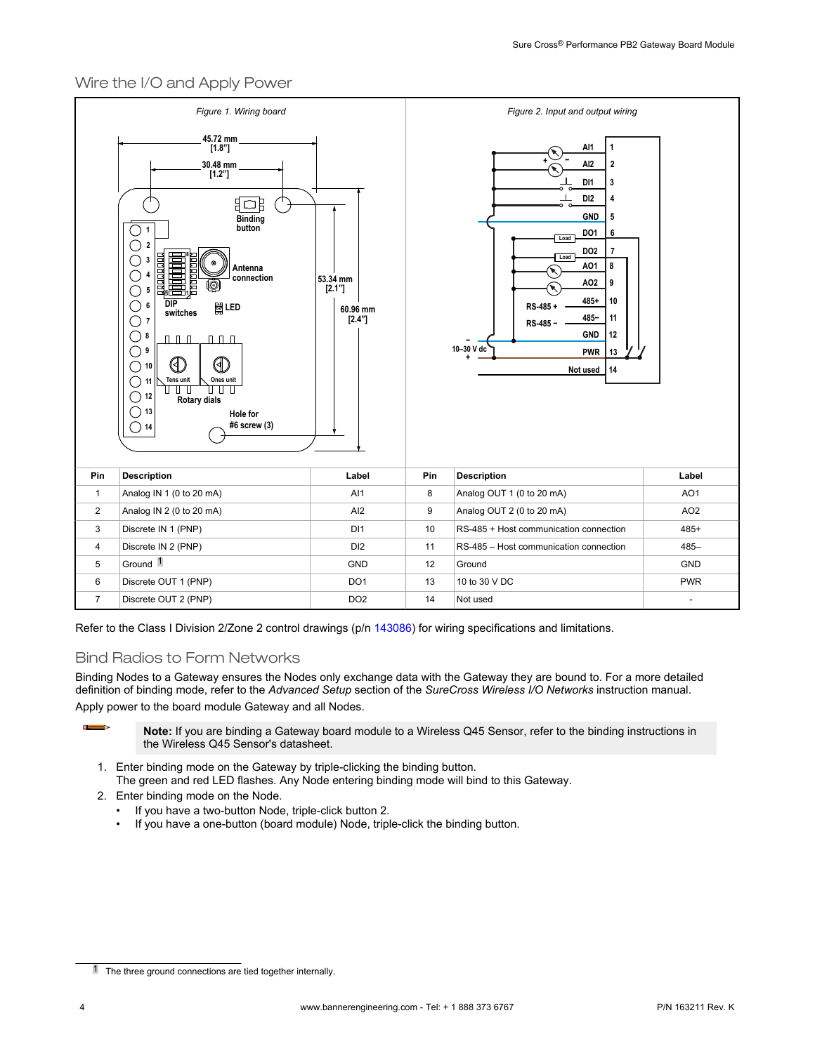# Wire the I/O and Apply Power



Refer to the Class I Division 2/Zone 2 control drawings (p/n [143086](http://info.bannerengineering.com/cs/groups/public/documents/literature/143086.pdf)) for wiring specifications and limitations.

# Bind Radios to Form Networks

Binding Nodes to a Gateway ensures the Nodes only exchange data with the Gateway they are bound to. For a more detailed definition of binding mode, refer to the *Advanced Setup* section of the *SureCross Wireless I/O Networks* instruction manual. Apply power to the board module Gateway and all Nodes.

> **Note:** If you are binding a Gateway board module to a Wireless Q45 Sensor, refer to the binding instructions in the Wireless Q45 Sensor's datasheet.

- 1. Enter binding mode on the Gateway by triple-clicking the binding button. The green and red LED flashes. Any Node entering binding mode will bind to this Gateway.
- 2. Enter binding mode on the Node.
	- If you have a two-button Node, triple-click button 2.
	- If you have a one-button (board module) Node, triple-click the binding button.

 $\blacksquare$ 

<sup>1</sup> The three ground connections are tied together internally.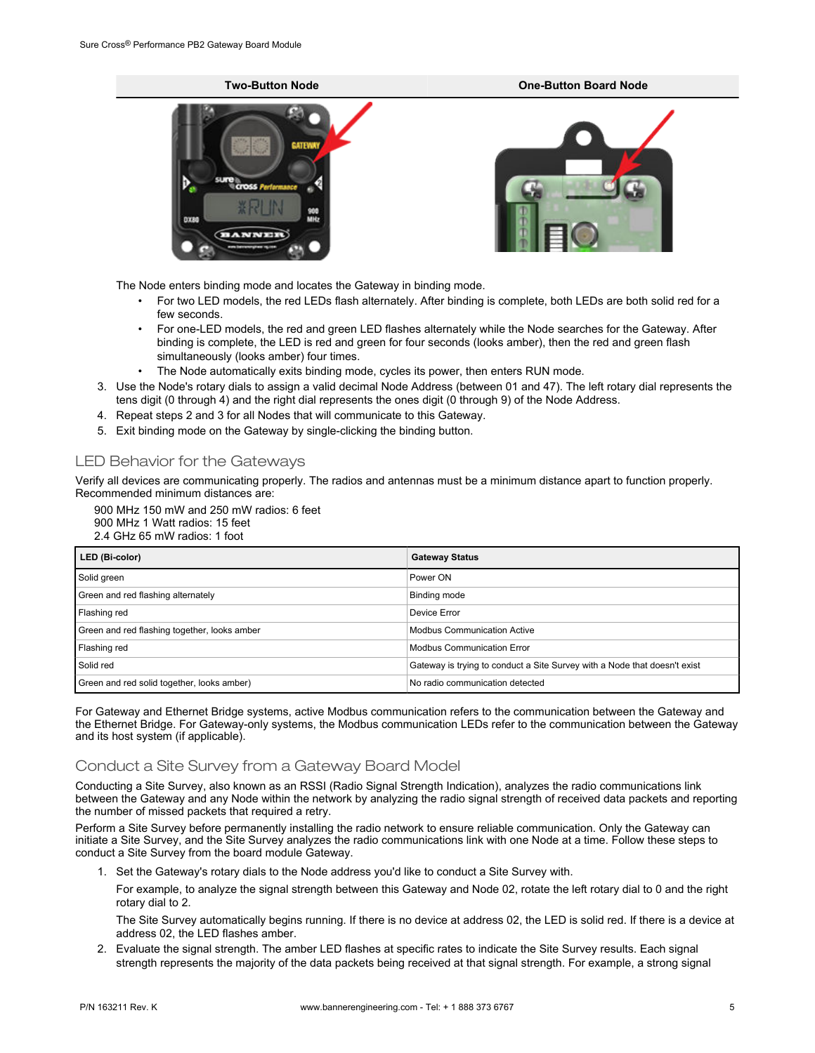# **Two-Button Node One-Button Board Node**

The Node enters binding mode and locates the Gateway in binding mode.

- For two LED models, the red LEDs flash alternately. After binding is complete, both LEDs are both solid red for a few seconds.
- For one-LED models, the red and green LED flashes alternately while the Node searches for the Gateway. After binding is complete, the LED is red and green for four seconds (looks amber), then the red and green flash simultaneously (looks amber) four times.
- The Node automatically exits binding mode, cycles its power, then enters RUN mode.
- 3. Use the Node's rotary dials to assign a valid decimal Node Address (between 01 and 47). The left rotary dial represents the tens digit (0 through 4) and the right dial represents the ones digit (0 through 9) of the Node Address.
- 4. Repeat steps 2 and 3 for all Nodes that will communicate to this Gateway.
- 5. Exit binding mode on the Gateway by single-clicking the binding button.

# LED Behavior for the Gateways

Verify all devices are communicating properly. The radios and antennas must be a minimum distance apart to function properly. Recommended minimum distances are:

900 MHz 150 mW and 250 mW radios: 6 feet 900 MHz 1 Watt radios: 15 feet 2.4 GHz 65 mW radios: 1 foot

| LED (Bi-color)                               | <b>Gateway Status</b>                                                     |
|----------------------------------------------|---------------------------------------------------------------------------|
| Solid green                                  | Power ON                                                                  |
| Green and red flashing alternately           | Binding mode                                                              |
| Flashing red                                 | Device Error                                                              |
| Green and red flashing together, looks amber | <b>Modbus Communication Active</b>                                        |
| Flashing red                                 | <b>Modbus Communication Error</b>                                         |
| Solid red                                    | Gateway is trying to conduct a Site Survey with a Node that doesn't exist |
| Green and red solid together, looks amber)   | No radio communication detected                                           |

For Gateway and Ethernet Bridge systems, active Modbus communication refers to the communication between the Gateway and the Ethernet Bridge. For Gateway-only systems, the Modbus communication LEDs refer to the communication between the Gateway and its host system (if applicable).

# Conduct a Site Survey from a Gateway Board Model

Conducting a Site Survey, also known as an RSSI (Radio Signal Strength Indication), analyzes the radio communications link between the Gateway and any Node within the network by analyzing the radio signal strength of received data packets and reporting the number of missed packets that required a retry.

Perform a Site Survey before permanently installing the radio network to ensure reliable communication. Only the Gateway can initiate a Site Survey, and the Site Survey analyzes the radio communications link with one Node at a time. Follow these steps to conduct a Site Survey from the board module Gateway.

1. Set the Gateway's rotary dials to the Node address you'd like to conduct a Site Survey with.

For example, to analyze the signal strength between this Gateway and Node 02, rotate the left rotary dial to 0 and the right rotary dial to 2.

The Site Survey automatically begins running. If there is no device at address 02, the LED is solid red. If there is a device at address 02, the LED flashes amber.

2. Evaluate the signal strength. The amber LED flashes at specific rates to indicate the Site Survey results. Each signal strength represents the majority of the data packets being received at that signal strength. For example, a strong signal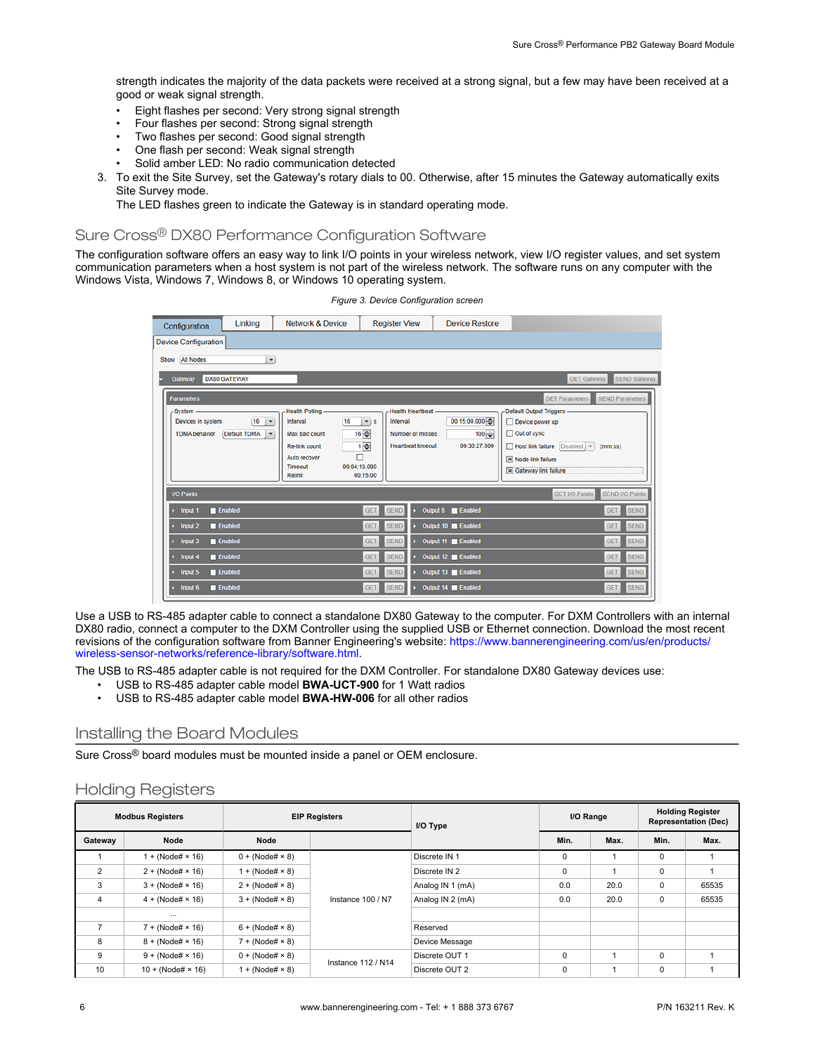strength indicates the majority of the data packets were received at a strong signal, but a few may have been received at a good or weak signal strength.

- Eight flashes per second: Very strong signal strength
- Four flashes per second: Strong signal strength
- Two flashes per second: Good signal strength
- One flash per second: Weak signal strength
- Solid amber LED: No radio communication detected
- 3. To exit the Site Survey, set the Gateway's rotary dials to 00. Otherwise, after 15 minutes the Gateway automatically exits Site Survey mode.

The LED flashes green to indicate the Gateway is in standard operating mode.

# Sure Cross® DX80 Performance Configuration Software

The configuration software offers an easy way to link I/O points in your wireless network, view I/O register values, and set system communication parameters when a host system is not part of the wireless network. The software runs on any computer with the Windows Vista, Windows 7, Windows 8, or Windows 10 operating system.

*Figure 3. Device Configuration screen*

| Configuration               | Linking                 | <b>Network &amp; Device</b> | <b>Register View</b>       |                          | <b>Device Restore</b> |                                                 |
|-----------------------------|-------------------------|-----------------------------|----------------------------|--------------------------|-----------------------|-------------------------------------------------|
| <b>Device Configuration</b> |                         |                             |                            |                          |                       |                                                 |
| All Nodes<br>Show           | $\cdot$                 |                             |                            |                          |                       |                                                 |
| <b>Gateway</b>              | <b>DX80 GATEWAY</b>     |                             |                            |                          |                       | <b>SEND Gateway</b><br><b>GET Gateway</b>       |
| <b>Parameters</b>           |                         |                             |                            |                          |                       | <b>GET Parameters</b><br><b>SEND Parameters</b> |
| -System                     |                         | <b>Health Polling -</b>     |                            | <b>Health Heartbeat</b>  |                       | Default Output Triggers                         |
| Devices in system           | 16<br>$\mathbf{r}$      | 16<br>Interval              | $\mathbf{v}$ s<br>Interval |                          | 00:15:00.000          | Device power up                                 |
| <b>TDMA</b> behavior        | Default TDMA<br>$\star$ | Max bad count               | 16号                        | Number of misses         | $100 - \frac{1}{2}$   | □ Out of sync                                   |
|                             |                         | <b>Re-link count</b>        | 1종                         | <b>Heartbeat timeout</b> | 00:30:27.000          | Host link failure [Disabled] ~<br>(mm:ss)       |
|                             |                         | Auto recover<br>Timeout     | п<br>00:04:16.000          |                          |                       | [X] Node link failure                           |
|                             |                         | <b>Relink</b>               | 00:15:00                   |                          |                       | [x] Gateway link failure                        |
| <b>I/O Points</b>           |                         |                             |                            |                          |                       | <b>GET I/O Points</b><br><b>SEND I/O Points</b> |
| Input 1                     | <b>Enabled</b>          |                             | <b>GET</b><br><b>SEND</b>  | Output 9                 | <b>Enabled</b>        | <b>SEND</b><br>GET                              |
| Input 2                     | <b>Enabled</b>          |                             | <b>SEND</b><br><b>GET</b>  |                          | Output 10 Enabled     | <b>SEND</b><br><b>GET</b>                       |
| Input 3                     | <b>Enabled</b>          |                             | <b>SEND</b><br><b>GET</b>  |                          | Output 11 Enabled     | <b>SEND</b><br><b>GET</b>                       |
| Input 4                     | <b>Enabled</b>          |                             | <b>SEND</b><br><b>GET</b>  |                          | Output 12 Enabled     | <b>SEND</b><br><b>GET</b>                       |
| Input 5                     | Enabled                 |                             | <b>SEND</b><br><b>GET</b>  |                          | Output 13 Enabled     | <b>SEND</b><br><b>GET</b>                       |
| Input 6                     | <b>Enabled</b>          |                             | <b>SEND</b><br><b>GET</b>  |                          | Output 14 Enabled     | <b>SEND</b><br><b>GET</b>                       |

Use a USB to RS-485 adapter cable to connect a standalone DX80 Gateway to the computer. For DXM Controllers with an internal DX80 radio, connect a computer to the DXM Controller using the supplied USB or Ethernet connection. Download the most recent revisions of the configuration software from Banner Engineering's website: [https://www.bannerengineering.com/us/en/products/](https://www.bannerengineering.com/us/en/products/wireless-sensor-networks/reference-library/software.html) [wireless-sensor-networks/reference-library/software.html.](https://www.bannerengineering.com/us/en/products/wireless-sensor-networks/reference-library/software.html)

The USB to RS-485 adapter cable is not required for the DXM Controller. For standalone DX80 Gateway devices use:

- USB to RS-485 adapter cable model **BWA-UCT-900** for 1 Watt radios
- USB to RS-485 adapter cable model **BWA-HW-006** for all other radios

### Installing the Board Modules

Sure Cross® board modules must be mounted inside a panel or OEM enclosure.

# Holding Registers

| <b>Modbus Registers</b> |                         | <b>EIP Registers</b>   |                           | I/O Type         | I/O Range |      | <b>Holding Register</b><br><b>Representation (Dec)</b> |       |
|-------------------------|-------------------------|------------------------|---------------------------|------------------|-----------|------|--------------------------------------------------------|-------|
| Gateway                 | Node                    | Node                   |                           |                  | Min.      | Max. | Min.                                                   | Max.  |
|                         | $1 + (Node# × 16)$      | $0 + (Node# \times 8)$ |                           | Discrete IN 1    | $\Omega$  |      | 0                                                      |       |
| $\overline{2}$          | $2 + (Node# × 16)$      | $1 + (Node# \times 8)$ | Instance 100 / N7         | Discrete IN 2    | $\Omega$  |      | 0                                                      |       |
| 3                       | $3 + (Node# × 16)$      | $2 + (Node# \times 8)$ |                           | Analog IN 1 (mA) | 0.0       | 20.0 | 0                                                      | 65535 |
| 4                       | $4 + (Node# × 16)$      | $3 + (Node# \times 8)$ |                           | Analog IN 2 (mA) | 0.0       | 20.0 | 0                                                      | 65535 |
|                         | $\cdots$                |                        |                           |                  |           |      |                                                        |       |
| $\overline{7}$          | $7 + (Node# × 16)$      | $6 + (Node# \times 8)$ |                           | Reserved         |           |      |                                                        |       |
| 8                       | $8 + (Node# \times 16)$ | $7 + (Node# \times 8)$ |                           | Device Message   |           |      |                                                        |       |
| 9                       | $9 + (Node# × 16)$      | $0 + (Node# \times 8)$ | <b>Instance 112 / N14</b> | Discrete OUT 1   | $\Omega$  |      | 0                                                      |       |
| 10                      | $10 + (Node# × 16)$     | $1 + (Node# \times 8)$ |                           | Discrete OUT 2   | $\Omega$  |      | 0                                                      |       |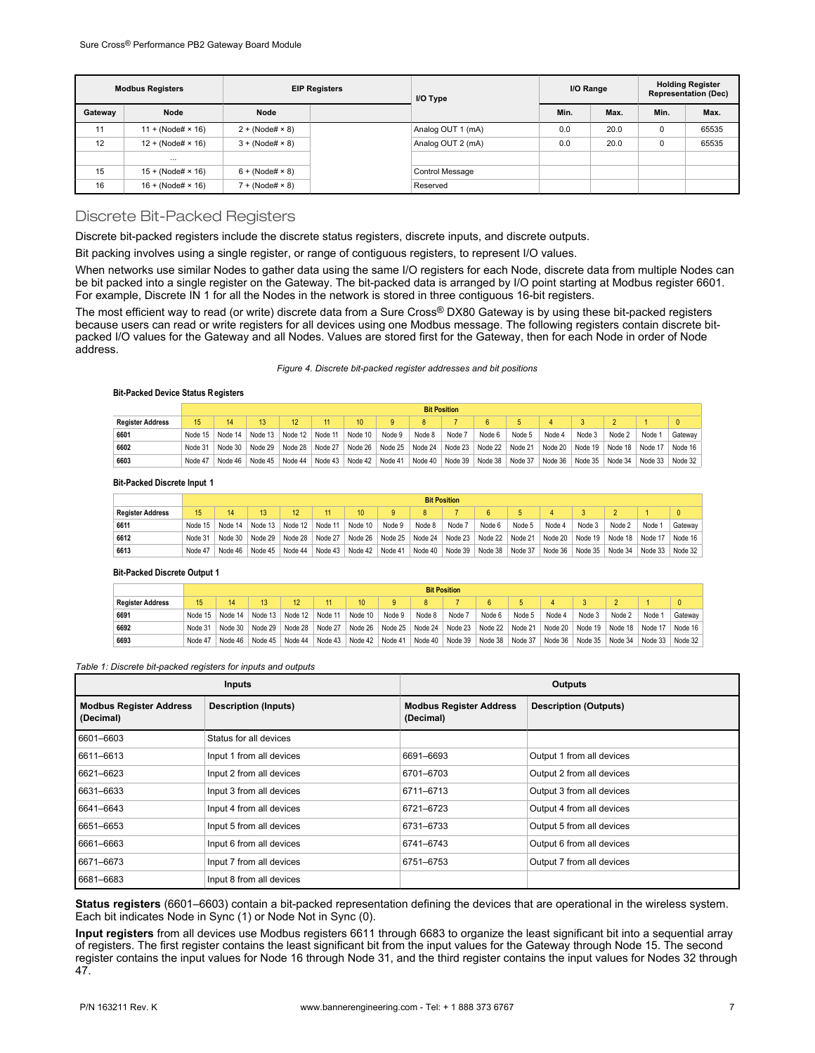| <b>EIP Registers</b><br><b>Modbus Registers</b> |                     | I/O Type               | I/O Range |                        | <b>Holding Register</b><br><b>Representation (Dec)</b> |      |      |       |
|-------------------------------------------------|---------------------|------------------------|-----------|------------------------|--------------------------------------------------------|------|------|-------|
| Gateway                                         | Node                | Node                   |           |                        | Min.                                                   | Max. | Min. | Max.  |
| 11                                              | $11 + (Node# × 16)$ | $2 + (Node# \times 8)$ |           | Analog OUT 1 (mA)      | 0.0                                                    | 20.0 | 0    | 65535 |
| 12                                              | $12 + (Node# × 16)$ | $3 + (Node# \times 8)$ |           | Analog OUT 2 (mA)      | 0.0                                                    | 20.0 | 0    | 65535 |
|                                                 | $\cdots$            |                        |           |                        |                                                        |      |      |       |
| 15                                              | $15 + (Node# × 16)$ | $6 + (Node# \times 8)$ |           | <b>Control Message</b> |                                                        |      |      |       |
| 16                                              | $16 + (Node# × 16)$ | $7 + (Node# \times 8)$ |           | Reserved               |                                                        |      |      |       |

### Discrete Bit-Packed Registers

Discrete bit-packed registers include the discrete status registers, discrete inputs, and discrete outputs.

Bit packing involves using a single register, or range of contiguous registers, to represent I/O values.

When networks use similar Nodes to gather data using the same I/O registers for each Node, discrete data from multiple Nodes can be bit packed into a single register on the Gateway. The bit-packed data is arranged by I/O point starting at Modbus register 6601. For example, Discrete IN 1 for all the Nodes in the network is stored in three contiguous 16-bit registers.

The most efficient way to read (or write) discrete data from a Sure Cross® DX80 Gateway is by using these bit-packed registers because users can read or write registers for all devices using one Modbus message. The following registers contain discrete bitpacked I/O values for the Gateway and all Nodes. Values are stored first for the Gateway, then for each Node in order of Node address.

### *Figure 4. Discrete bit-packed register addresses and bit positions*

### **Bit-Packed Device Status Registers**

|                         | <b>Bit Position</b> |           |         |                 |  |                 |                                                 |         |        |                         |        |         |                 |         |         |           |
|-------------------------|---------------------|-----------|---------|-----------------|--|-----------------|-------------------------------------------------|---------|--------|-------------------------|--------|---------|-----------------|---------|---------|-----------|
| <b>Register Address</b> | $15^{\circ}$        | 14        |         |                 |  | $10-10$         | $\alpha$                                        | 8       |        |                         | b.     |         |                 |         |         |           |
| 6601                    | Node 15             | Node 14   | Node 13 | Node 12 Node 11 |  | Node 10         | Node 9                                          | Node 8  | Node 7 | Node 6                  | Node 5 | Node 4  | Node 3          | Node 2  | Node 1  | Gateway   |
| 6602                    | Node 31             | Node $30$ | Node 29 |                 |  |                 | Node 28   Node 27   Node 26   Node 25   Node 24 |         |        | Node 23 Node 22 Node 21 |        | Node 20 | Node 19 Node 18 |         | Node 17 | Node 16   |
| 6603                    | Node 47             | Node 46   | Node 45 | Node 44         |  | Node 43 Node 42 | Node 41                                         | Node 40 |        | Node 39 Node 38 Node 37 |        | Node 36 | Node 35         | Node 34 | Node 33 | Node $32$ |

### **Bit-Packed Discrete Input 1**

|                         | <b>Bit Position</b> |         |           |                 |         |         |                 |         |        |                 |         |         |           |         |                   |         |
|-------------------------|---------------------|---------|-----------|-----------------|---------|---------|-----------------|---------|--------|-----------------|---------|---------|-----------|---------|-------------------|---------|
| <b>Register Address</b> | 15                  |         |           | 12 <sup>1</sup> |         | 10      | 9               | 8       |        |                 | ь.      |         |           |         |                   |         |
| 6611                    | Node 15             | Node 14 | Node 13   | Node 12         | Node 11 | Node 10 | Node 9          | Node 8  | Node 7 | Node 6          | Node 5  | Node 4  | Node 3    | Node 2  | Node <sup>-</sup> | Gateway |
| 6612                    | Node 31             | Node 30 | Node $29$ | Node 28         | Node 27 | Node 26 | Node 25 Node 24 |         |        | Node 23 Node 22 | Node 21 | Node 20 | Node $19$ | Node 18 | Node 17           | Node 16 |
| 6613                    | Node 47             | Node 46 | Node 45   | Node 44         | Node 43 | Node 42 | Node 41         | Node 40 |        | Node 39 Node 38 | Node 37 | Node 36 | Node $35$ | Node 34 | Node 33           | Node 32 |

### **Bit-Packed Discrete Output 1**

|                         |                 | <b>Bit Position</b> |         |                 |         |                  |                         |        |                 |                 |              |         |         |         |         |         |
|-------------------------|-----------------|---------------------|---------|-----------------|---------|------------------|-------------------------|--------|-----------------|-----------------|--------------|---------|---------|---------|---------|---------|
| <b>Register Address</b> | 15 <sup>1</sup> |                     |         |                 |         | 10 <sup>10</sup> | $\alpha$                |        |                 | 6               | $\mathbf{a}$ |         |         |         |         |         |
| 6691                    | Node 15         | Node 14             | Node 13 | Node $12$       | Node 11 | Node 10          | Node 9                  | Node 8 | Node 7          | Node 6          | Node 5       | Node 4  | Node 3  | Node 2  | Node    | Gateway |
| 6692                    | Node 31         | Node 30             | Node 29 | Node 28 Node 27 |         | Node 26          | Node 25 Node 24 Node 23 |        |                 | Node 22 Node 21 |              | Node 20 | Node 19 | Node 18 | Node 17 | Node 16 |
| 6693                    | Node 47         | Node 46             | Node 45 | Node 44         | Node 43 | Node 42          | Node 41                 |        | Node 40 Node 39 | Node 38 Node 37 |              | Node 36 | Node 35 | Node 34 | Node 33 | Node 32 |

### *Table 1: Discrete bit-packed registers for inputs and outputs*

|                                      | Inputs                      | <b>Outputs</b>                              |                              |  |  |  |
|--------------------------------------|-----------------------------|---------------------------------------------|------------------------------|--|--|--|
| Modbus Register Address<br>(Decimal) | <b>Description (Inputs)</b> | <b>Modbus Register Address</b><br>(Decimal) | <b>Description (Outputs)</b> |  |  |  |
| 6601-6603                            | Status for all devices      |                                             |                              |  |  |  |
| 6611-6613                            | Input 1 from all devices    | 6691-6693                                   | Output 1 from all devices    |  |  |  |
| 6621-6623                            | Input 2 from all devices    | 6701-6703                                   | Output 2 from all devices    |  |  |  |
| 6631-6633                            | Input 3 from all devices    | 6711-6713                                   | Output 3 from all devices    |  |  |  |
| 6641-6643                            | Input 4 from all devices    | 6721-6723                                   | Output 4 from all devices    |  |  |  |
| 6651-6653                            | Input 5 from all devices    | 6731-6733                                   | Output 5 from all devices    |  |  |  |
| 6661-6663                            | Input 6 from all devices    | 6741-6743                                   | Output 6 from all devices    |  |  |  |
| 6671-6673                            | Input 7 from all devices    | 6751-6753                                   | Output 7 from all devices    |  |  |  |
| 6681-6683                            | Input 8 from all devices    |                                             |                              |  |  |  |

**Status registers** (6601–6603) contain a bit-packed representation defining the devices that are operational in the wireless system. Each bit indicates Node in Sync (1) or Node Not in Sync (0).

**Input registers** from all devices use Modbus registers 6611 through 6683 to organize the least significant bit into a sequential array of registers. The first register contains the least significant bit from the input values for the Gateway through Node 15. The second register contains the input values for Node 16 through Node 31, and the third register contains the input values for Nodes 32 through 47.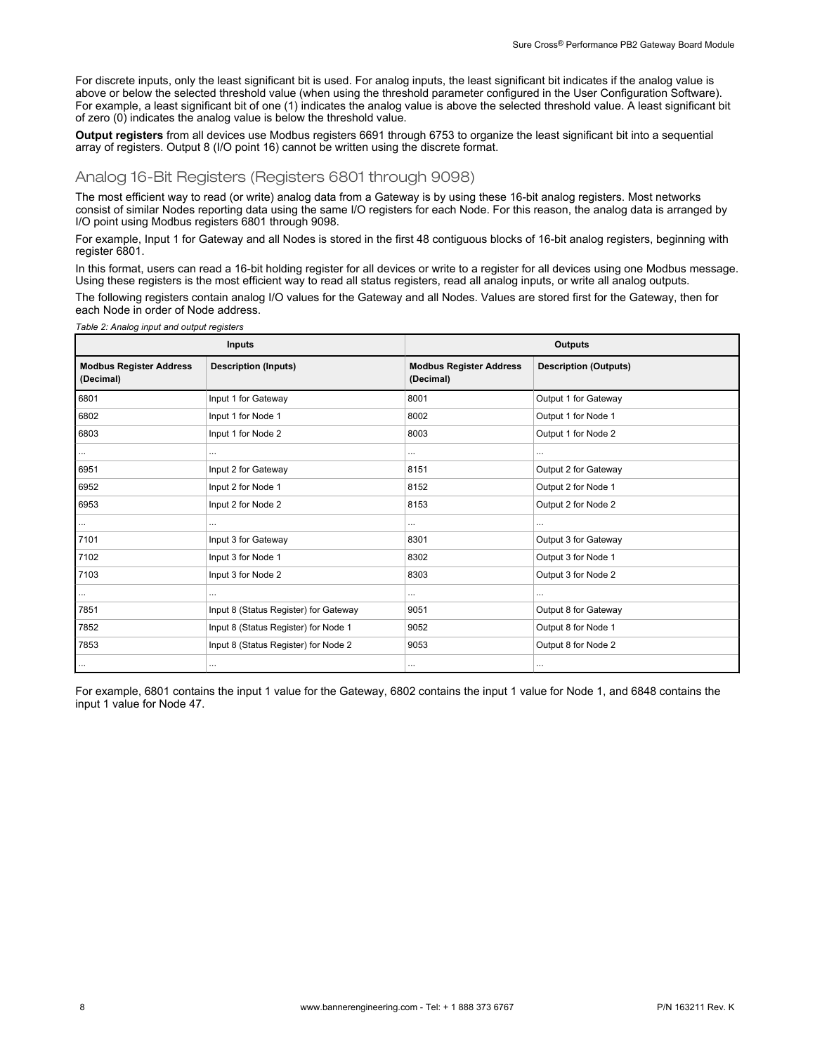For discrete inputs, only the least significant bit is used. For analog inputs, the least significant bit indicates if the analog value is above or below the selected threshold value (when using the threshold parameter configured in the User Configuration Software). For example, a least significant bit of one (1) indicates the analog value is above the selected threshold value. A least significant bit of zero (0) indicates the analog value is below the threshold value.

**Output registers** from all devices use Modbus registers 6691 through 6753 to organize the least significant bit into a sequential array of registers. Output 8 (I/O point 16) cannot be written using the discrete format.

# Analog 16-Bit Registers (Registers 6801 through 9098)

*Table 2: Analog input and output registers*

The most efficient way to read (or write) analog data from a Gateway is by using these 16-bit analog registers. Most networks consist of similar Nodes reporting data using the same I/O registers for each Node. For this reason, the analog data is arranged by I/O point using Modbus registers 6801 through 9098.

For example, Input 1 for Gateway and all Nodes is stored in the first 48 contiguous blocks of 16-bit analog registers, beginning with register 6801.

In this format, users can read a 16-bit holding register for all devices or write to a register for all devices using one Modbus message. Using these registers is the most efficient way to read all status registers, read all analog inputs, or write all analog outputs.

The following registers contain analog I/O values for the Gateway and all Nodes. Values are stored first for the Gateway, then for each Node in order of Node address.

|                                             | Inputs                                |                                             | <b>Outputs</b>               |  |  |  |  |  |
|---------------------------------------------|---------------------------------------|---------------------------------------------|------------------------------|--|--|--|--|--|
| <b>Modbus Register Address</b><br>(Decimal) | <b>Description (Inputs)</b>           | <b>Modbus Register Address</b><br>(Decimal) | <b>Description (Outputs)</b> |  |  |  |  |  |
| 6801                                        | Input 1 for Gateway                   | 8001                                        | Output 1 for Gateway         |  |  |  |  |  |
| 6802                                        | Input 1 for Node 1                    | 8002                                        | Output 1 for Node 1          |  |  |  |  |  |
| 6803                                        | Input 1 for Node 2                    | 8003                                        | Output 1 for Node 2          |  |  |  |  |  |
| $\cdots$                                    | $\cdots$                              |                                             |                              |  |  |  |  |  |
| 6951                                        | Input 2 for Gateway                   | 8151                                        | Output 2 for Gateway         |  |  |  |  |  |
| 6952                                        | Input 2 for Node 1                    | 8152                                        | Output 2 for Node 1          |  |  |  |  |  |
| 6953                                        | Input 2 for Node 2                    | 8153                                        | Output 2 for Node 2          |  |  |  |  |  |
| $\cdots$                                    | $\cdots$                              |                                             | $\cdots$                     |  |  |  |  |  |
| 7101                                        | Input 3 for Gateway                   | 8301                                        | Output 3 for Gateway         |  |  |  |  |  |
| 7102                                        | Input 3 for Node 1                    | 8302                                        | Output 3 for Node 1          |  |  |  |  |  |
| 7103                                        | Input 3 for Node 2                    | 8303                                        | Output 3 for Node 2          |  |  |  |  |  |
| $\cdots$                                    | $\cdots$                              |                                             |                              |  |  |  |  |  |
| 7851                                        | Input 8 (Status Register) for Gateway | 9051                                        | Output 8 for Gateway         |  |  |  |  |  |
| 7852                                        | Input 8 (Status Register) for Node 1  | 9052                                        | Output 8 for Node 1          |  |  |  |  |  |
| 7853                                        | Input 8 (Status Register) for Node 2  | 9053                                        | Output 8 for Node 2          |  |  |  |  |  |
| $\cdots$                                    | $\cdots$                              | $\cdots$                                    | $\cdots$                     |  |  |  |  |  |

For example, 6801 contains the input 1 value for the Gateway, 6802 contains the input 1 value for Node 1, and 6848 contains the input 1 value for Node 47.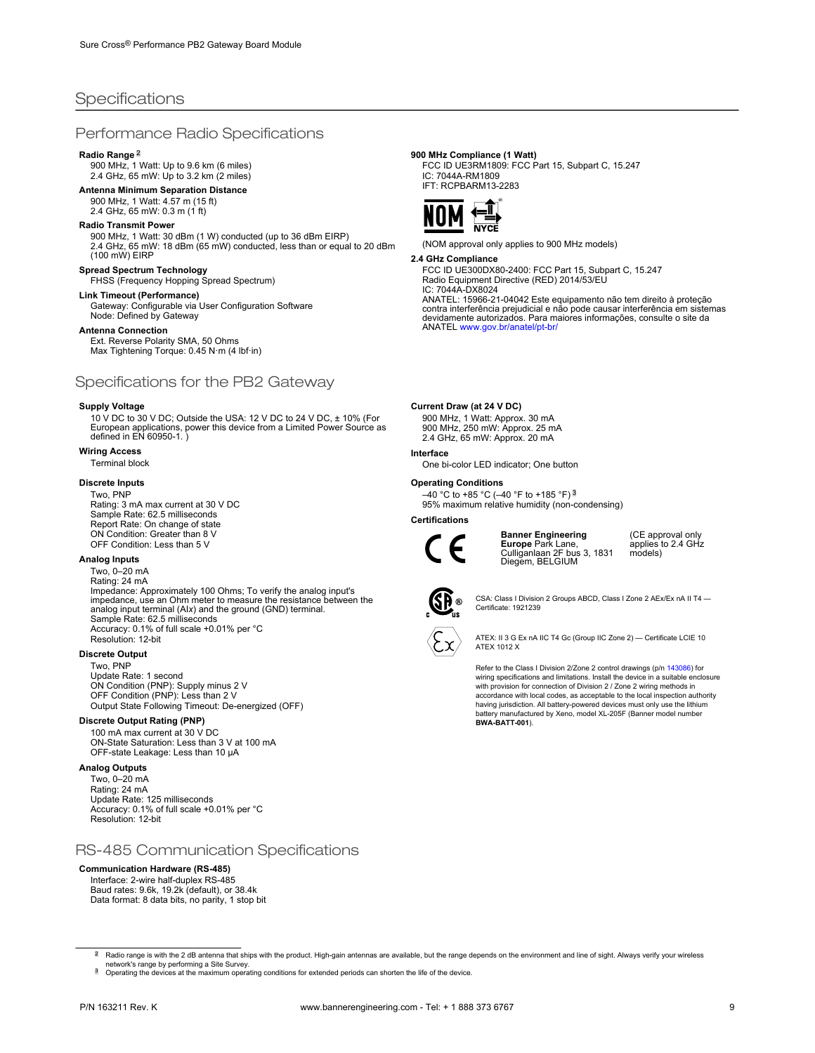# **Specifications**

### Performance Radio Specifications

### **Radio Range** <sup>2</sup>

900 MHz, 1 Watt: Up to 9.6 km (6 miles) 2.4 GHz, 65 mW: Up to 3.2 km (2 miles)

### **Antenna Minimum Separation Distance**

900 MHz, 1 Watt: 4.57 m (15 ft) 2.4 GHz, 65 mW: 0.3 m (1 ft)

### **Radio Transmit Power**

900 MHz, 1 Watt: 30 dBm (1 W) conducted (up to 36 dBm EIRP) 2.4 GHz, 65 mW: 18 dBm (65 mW) conducted, less than or equal to 20 dBm (100 mW) EIRP

### **Spread Spectrum Technology**

FHSS (Frequency Hopping Spread Spectrum)

# **Link Timeout (Performance)**

Gateway: Configurable via User Configuration Software Node: Defined by Gateway

### **Antenna Connection**

Ext. Reverse Polarity SMA, 50 Ohms Max Tightening Torque: 0.45 N·m (4 lbf·in)

### Specifications for the PB2 Gateway

### **Supply Voltage**

10 V DC to 30 V DC; Outside the USA: 12 V DC to 24 V DC, ± 10% (For European applications, power this device from a Limited Power Source as defined in EN 60950-1. )

### **Wiring Access**

Terminal block

### **Discrete Inputs**

Two, PNP Rating: 3 mA max current at 30 V DC Sample Rate: 62.5 milliseconds Report Rate: On change of state ON Condition: Greater than 8 V OFF Condition: Less than 5 V

### **Analog Inputs**

Two, 0–20 mA Rating: 24 mA Impedance: Approximately 100 Ohms; To verify the analog input's impedance, use an Ohm meter to measure the resistance between the analog input terminal (AI*x*) and the ground (GND) terminal. Sample Rate: 62.5 milliseconds Accuracy: 0.1% of full scale +0.01% per °C Resolution: 12-bit

### **Discrete Output**

Two, PNP Update Rate: 1 second ON Condition (PNP): Supply minus 2 V OFF Condition (PNP): Less than 2 V Output State Following Timeout: De-energized (OFF)

### **Discrete Output Rating (PNP)**

100 mA max current at 30 V DC ON-State Saturation: Less than 3 V at 100 mA OFF-state Leakage: Less than 10 μA

### **Analog Outputs**

Two, 0–20 mA Rating: 24 mA Update Rate: 125 milliseconds Accuracy: 0.1% of full scale +0.01% per °C Resolution: 12-bit

# RS-485 Communication Specifications

### **Communication Hardware (RS-485)**

Interface: 2-wire half-duplex RS-485 Baud rates: 9.6k, 19.2k (default), or 38.4k Data format: 8 data bits, no parity, 1 stop bit

### **900 MHz Compliance (1 Watt)**

FCC ID UE3RM1809: FCC Part 15, Subpart C, 15.247 IC: 7044A-RM1809 IFT: RCPBARM13-2283



(NOM approval only applies to 900 MHz models)

### **2.4 GHz Compliance**

FCC ID UE300DX80-2400: FCC Part 15, Subpart C, 15.247 Radio Equipment Directive (RED) 2014/53/EU

IC: 7044A-DX8024 ANATEL: 15966-21-04042 Este equipamento não tem direito à proteção contra interferência prejudicial e não pode causar interferência em sistemas devidamente autorizados. Para maiores informações, consulte o site da<br>ANATEL [www.gov.br/anatel/pt-br/](http://www.gov.br/anatel/pt-br/)

### **Current Draw (at 24 V DC)**

900 MHz, 1 Watt: Approx. 30 mA 900 MHz, 250 mW: Approx. 25 mA 2.4 GHz, 65 mW: Approx. 20 mA

### **Interface**

One bi-color LED indicator; One button

### **Operating Conditions**

–40 °C to +85 °C (–40 °F to +185 °F) <sup>3</sup> 95% maximum relative humidity (non-condensing)

### **Certifications**



**Banner Engineering Europe** Park Lane, Culliganlaan 2F bus 3, 1831 Diegem, BELGIUM

(CE approval only applies to 2.4 GHz models)



CSA: Class I Division 2 Groups ABCD, Class I Zone 2 AEx/Ex nA II T4 — Certificate: 1921239

ATEX: II 3 G Ex nA IIC T4 Gc (Group IIC Zone 2) — Certificate LCIE 10 ATEX 1012 X

Refer to the Class I Division 2/Zone 2 control drawings (p/n [143086](http://info.bannerengineering.com/cs/groups/public/documents/literature/143086.pdf)) for wiring specifications and limitations. Install the device in a suitable enclosure with provision for connection of Division 2 / Zone 2 wiring methods in accordance with local codes, as acceptable to the local inspection authority having jurisdiction. All battery-powered devices must only use the lithium battery manufactured by Xeno, model XL-205F (Banner model number **BWA-BATT-001**).

<sup>2</sup> Radio range is with the 2 dB antenna that ships with the product. High-gain antennas are available, but the range depends on the environment and line of sight. Always verify your wireless network's range by performing a Site Survey.

<sup>&</sup>lt;sup>3</sup> Operating the devices at the maximum operating conditions for extended periods can shorten the life of the device.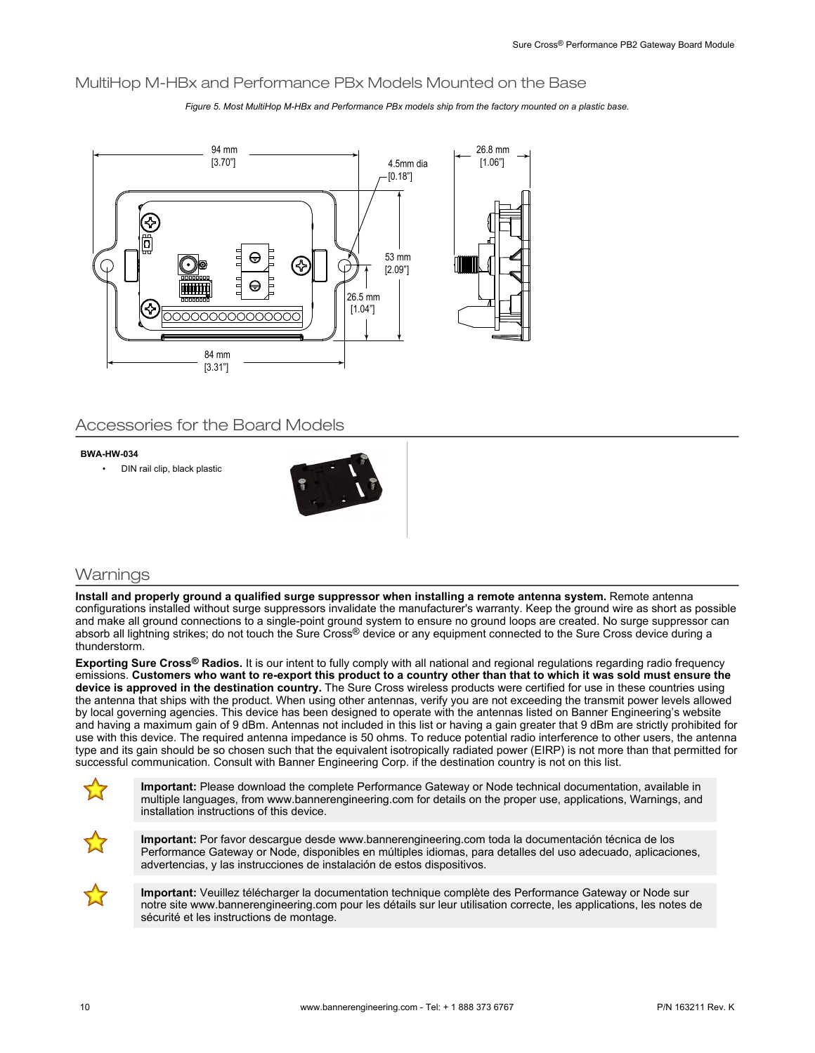# MultiHop M-HBx and Performance PBx Models Mounted on the Base

*Figure 5. Most MultiHop M-HBx and Performance PBx models ship from the factory mounted on a plastic base.*



# Accessories for the Board Models

### **BWA-HW-034**

• DIN rail clip, black plastic



# **Warnings**

**Install and properly ground a qualified surge suppressor when installing a remote antenna system.** Remote antenna configurations installed without surge suppressors invalidate the manufacturer's warranty. Keep the ground wire as short as possible and make all ground connections to a single-point ground system to ensure no ground loops are created. No surge suppressor can absorb all lightning strikes; do not touch the Sure Cross® device or any equipment connected to the Sure Cross device during a thunderstorm.

**Exporting Sure Cross® Radios.** It is our intent to fully comply with all national and regional regulations regarding radio frequency emissions. **Customers who want to re-export this product to a country other than that to which it was sold must ensure the device is approved in the destination country.** The Sure Cross wireless products were certified for use in these countries using the antenna that ships with the product. When using other antennas, verify you are not exceeding the transmit power levels allowed by local governing agencies. This device has been designed to operate with the antennas listed on Banner Engineering's website and having a maximum gain of 9 dBm. Antennas not included in this list or having a gain greater that 9 dBm are strictly prohibited for use with this device. The required antenna impedance is 50 ohms. To reduce potential radio interference to other users, the antenna type and its gain should be so chosen such that the equivalent isotropically radiated power (EIRP) is not more than that permitted for successful communication. Consult with Banner Engineering Corp. if the destination country is not on this list.



**Important:** Please download the complete Performance Gateway or Node technical documentation, available in multiple languages, from www.bannerengineering.com for details on the proper use, applications, Warnings, and installation instructions of this device.



**Important:** Por favor descargue desde www.bannerengineering.com toda la documentación técnica de los Performance Gateway or Node, disponibles en múltiples idiomas, para detalles del uso adecuado, aplicaciones, advertencias, y las instrucciones de instalación de estos dispositivos.



**Important:** Veuillez télécharger la documentation technique complète des Performance Gateway or Node sur notre site www.bannerengineering.com pour les détails sur leur utilisation correcte, les applications, les notes de sécurité et les instructions de montage.